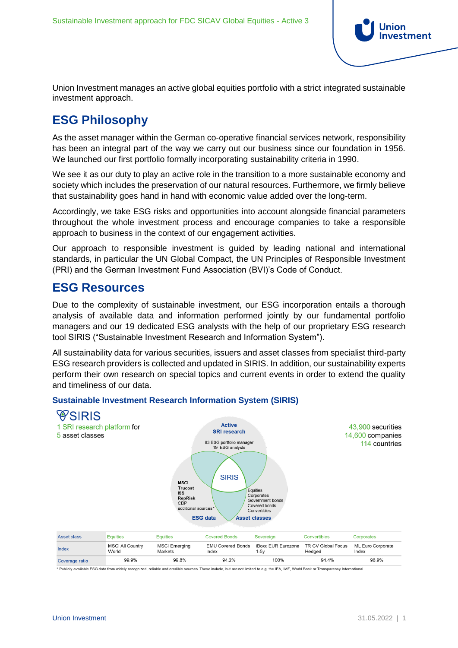

Union Investment manages an active global equities portfolio with a strict integrated sustainable investment approach.

## **ESG Philosophy**

As the asset manager within the German co-operative financial services network, responsibility has been an integral part of the way we carry out our business since our foundation in 1956. We launched our first portfolio formally incorporating sustainability criteria in 1990.

We see it as our duty to play an active role in the transition to a more sustainable economy and society which includes the preservation of our natural resources. Furthermore, we firmly believe that sustainability goes hand in hand with economic value added over the long-term.

Accordingly, we take ESG risks and opportunities into account alongside financial parameters throughout the whole investment process and encourage companies to take a responsible approach to business in the context of our engagement activities.

Our approach to responsible investment is guided by leading national and international standards, in particular the UN Global Compact, the UN Principles of Responsible Investment (PRI) and the German Investment Fund Association (BVI)'s Code of Conduct.

### **ESG Resources**

Due to the complexity of sustainable investment, our ESG incorporation entails a thorough analysis of available data and information performed jointly by our fundamental portfolio managers and our 19 dedicated ESG analysts with the help of our proprietary ESG research tool SIRIS ("Sustainable Investment Research and Information System").

All sustainability data for various securities, issuers and asset classes from specialist third-party ESG research providers is collected and updated in SIRIS. In addition, our sustainability experts perform their own research on special topics and current events in order to extend the quality and timeliness of our data.

### **Sustainable Investment Research Information System (SIRIS)**



100%

\* Publicly available ESG data from widely recognized, reliable and credible sources. These include, but are not limited to e.g. the IEA, IMF, World Bank or Transparency International.

Coverage ratio

96.9%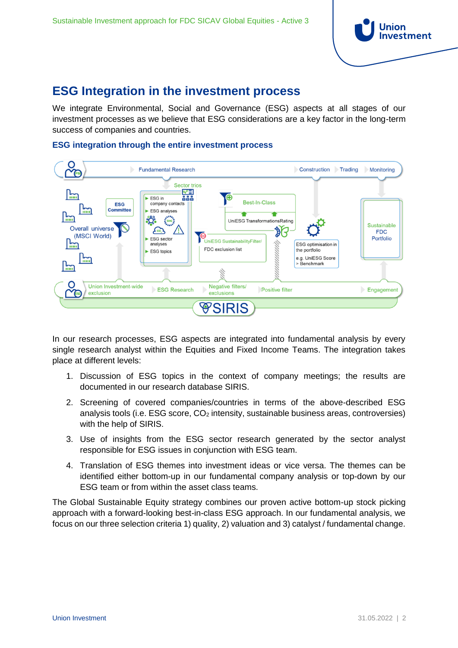

# **ESG Integration in the investment process**

We integrate Environmental, Social and Governance (ESG) aspects at all stages of our investment processes as we believe that ESG considerations are a key factor in the long-term success of companies and countries.

#### **ESG integration through the entire investment process**



In our research processes, ESG aspects are integrated into fundamental analysis by every single research analyst within the Equities and Fixed Income Teams. The integration takes place at different levels:

- 1. Discussion of ESG topics in the context of company meetings; the results are documented in our research database SIRIS.
- 2. Screening of covered companies/countries in terms of the above-described ESG analysis tools (i.e. ESG score,  $CO<sub>2</sub>$  intensity, sustainable business areas, controversies) with the help of SIRIS.
- 3. Use of insights from the ESG sector research generated by the sector analyst responsible for ESG issues in conjunction with ESG team.
- 4. Translation of ESG themes into investment ideas or vice versa. The themes can be identified either bottom-up in our fundamental company analysis or top-down by our ESG team or from within the asset class teams.

The Global Sustainable Equity strategy combines our proven active bottom-up stock picking approach with a forward-looking best-in-class ESG approach. In our fundamental analysis, we focus on our three selection criteria 1) quality, 2) valuation and 3) catalyst / fundamental change.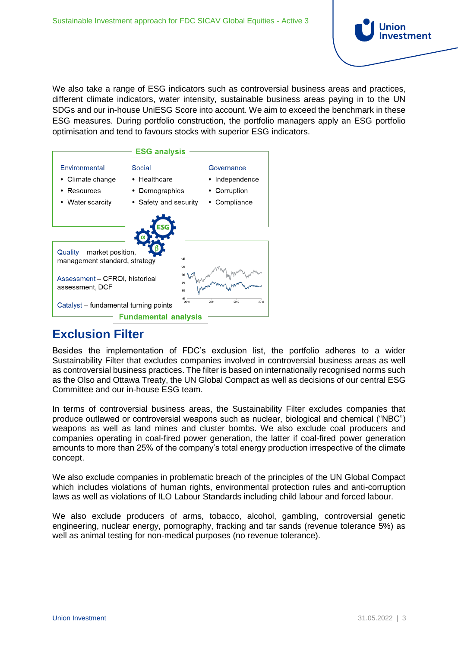

We also take a range of ESG indicators such as controversial business areas and practices, different climate indicators, water intensity, sustainable business areas paying in to the UN SDGs and our in-house UniESG Score into account. We aim to exceed the benchmark in these ESG measures. During portfolio construction, the portfolio managers apply an ESG portfolio optimisation and tend to favours stocks with superior ESG indicators.



### **Exclusion Filter**

Besides the implementation of FDC's exclusion list, the portfolio adheres to a wider Sustainability Filter that excludes companies involved in controversial business areas as well as controversial business practices. The filter is based on internationally recognised norms such as the Olso and Ottawa Treaty, the UN Global Compact as well as decisions of our central ESG Committee and our in-house ESG team.

In terms of controversial business areas, the Sustainability Filter excludes companies that produce outlawed or controversial weapons such as nuclear, biological and chemical ("NBC") weapons as well as land mines and cluster bombs. We also exclude coal producers and companies operating in coal-fired power generation, the latter if coal-fired power generation amounts to more than 25% of the company's total energy production irrespective of the climate concept.

We also exclude companies in problematic breach of the principles of the UN Global Compact which includes violations of human rights, environmental protection rules and anti-corruption laws as well as violations of ILO Labour Standards including child labour and forced labour.

We also exclude producers of arms, tobacco, alcohol, gambling, controversial genetic engineering, nuclear energy, pornography, fracking and tar sands (revenue tolerance 5%) as well as animal testing for non-medical purposes (no revenue tolerance).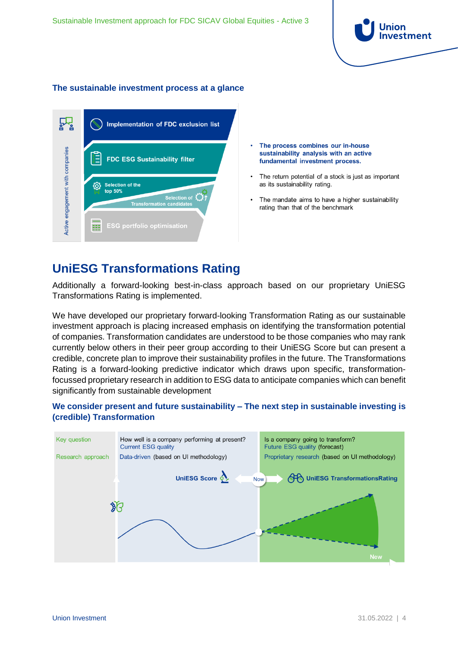

#### **The sustainable investment process at a glance**

|                                  | <b>Implementation of FDC exclusion list</b>                                                    |
|----------------------------------|------------------------------------------------------------------------------------------------|
|                                  | <b>FDC ESG Sustainability filter</b>                                                           |
| Active engagement with companies | <b>Selection of the</b><br>top 50%<br>Selection of $\{y\}$<br><b>Transformation candidates</b> |
|                                  | <b>ESG portfolio optimisation</b>                                                              |

- The process combines our in-house sustainability analysis with an active fundamental investment process.
- The return potential of a stock is just as important as its sustainability rating.
- The mandate aims to have a higher sustainability rating than that of the benchmark

### **UniESG Transformations Rating**

Additionally a forward-looking best-in-class approach based on our proprietary UniESG Transformations Rating is implemented.

We have developed our proprietary forward-looking Transformation Rating as our sustainable investment approach is placing increased emphasis on identifying the transformation potential of companies. Transformation candidates are understood to be those companies who may rank currently below others in their peer group according to their UniESG Score but can present a credible, concrete plan to improve their sustainability profiles in the future. The Transformations Rating is a forward-looking predictive indicator which draws upon specific, transformationfocussed proprietary research in addition to ESG data to anticipate companies which can benefit significantly from sustainable development



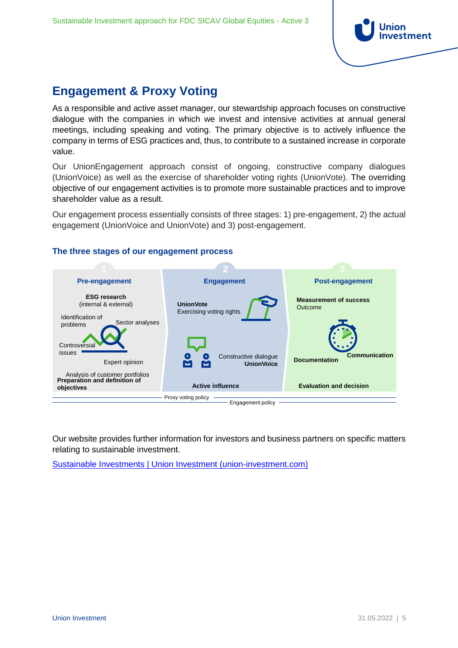

# **Engagement & Proxy Voting**

As a responsible and active asset manager, our stewardship approach focuses on constructive dialogue with the companies in which we invest and intensive activities at annual general meetings, including speaking and voting. The primary objective is to actively influence the company in terms of ESG practices and, thus, to contribute to a sustained increase in corporate value.

Our UnionEngagement approach consist of ongoing, constructive company dialogues (UnionVoice) as well as the exercise of shareholder voting rights (UnionVote). The overriding objective of our engagement activities is to promote more sustainable practices and to improve shareholder value as a result.

Our engagement process essentially consists of three stages: 1) pre-engagement, 2) the actual engagement (UnionVoice and UnionVote) and 3) post-engagement.



Our website provides further information for investors and business partners on specific matters relating to sustainable investment.

[Sustainable Investments | Union Investment \(union-investment.com\)](https://union-investment.com/home/Competencies/Sustainable_Investments.html)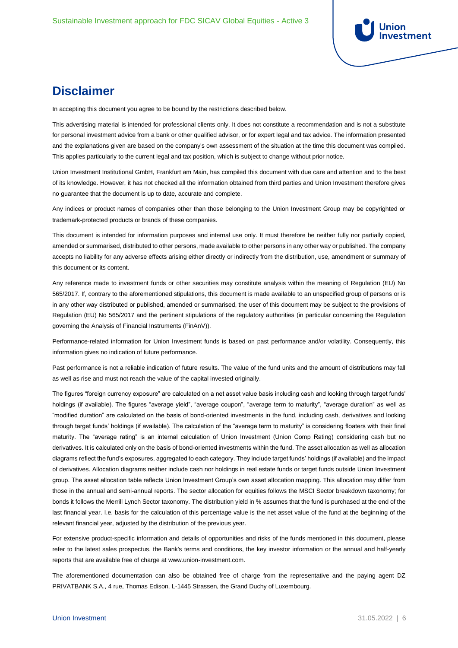

### **Disclaimer**

In accepting this document you agree to be bound by the restrictions described below.

This advertising material is intended for professional clients only. It does not constitute a recommendation and is not a substitute for personal investment advice from a bank or other qualified advisor, or for expert legal and tax advice. The information presented and the explanations given are based on the company's own assessment of the situation at the time this document was compiled. This applies particularly to the current legal and tax position, which is subject to change without prior notice.

Union Investment Institutional GmbH, Frankfurt am Main, has compiled this document with due care and attention and to the best of its knowledge. However, it has not checked all the information obtained from third parties and Union Investment therefore gives no guarantee that the document is up to date, accurate and complete.

Any indices or product names of companies other than those belonging to the Union Investment Group may be copyrighted or trademark-protected products or brands of these companies.

This document is intended for information purposes and internal use only. It must therefore be neither fully nor partially copied, amended or summarised, distributed to other persons, made available to other persons in any other way or published. The company accepts no liability for any adverse effects arising either directly or indirectly from the distribution, use, amendment or summary of this document or its content.

Any reference made to investment funds or other securities may constitute analysis within the meaning of Regulation (EU) No 565/2017. If, contrary to the aforementioned stipulations, this document is made available to an unspecified group of persons or is in any other way distributed or published, amended or summarised, the user of this document may be subject to the provisions of Regulation (EU) No 565/2017 and the pertinent stipulations of the regulatory authorities (in particular concerning the Regulation governing the Analysis of Financial Instruments (FinAnV)).

Performance-related information for Union Investment funds is based on past performance and/or volatility. Consequently, this information gives no indication of future performance.

Past performance is not a reliable indication of future results. The value of the fund units and the amount of distributions may fall as well as rise and must not reach the value of the capital invested originally.

The figures "foreign currency exposure" are calculated on a net asset value basis including cash and looking through target funds' holdings (if available). The figures "average yield", "average coupon", "average term to maturity", "average duration" as well as "modified duration" are calculated on the basis of bond-oriented investments in the fund, including cash, derivatives and looking through target funds' holdings (if available). The calculation of the "average term to maturity" is considering floaters with their final maturity. The "average rating" is an internal calculation of Union Investment (Union Comp Rating) considering cash but no derivatives. It is calculated only on the basis of bond-oriented investments within the fund. The asset allocation as well as allocation diagrams reflect the fund's exposures, aggregated to each category. They include target funds' holdings (if available) and the impact of derivatives. Allocation diagrams neither include cash nor holdings in real estate funds or target funds outside Union Investment group. The asset allocation table reflects Union Investment Group's own asset allocation mapping. This allocation may differ from those in the annual and semi-annual reports. The sector allocation for equities follows the MSCI Sector breakdown taxonomy; for bonds it follows the Merrill Lynch Sector taxonomy. The distribution yield in % assumes that the fund is purchased at the end of the last financial year. I.e. basis for the calculation of this percentage value is the net asset value of the fund at the beginning of the relevant financial year, adjusted by the distribution of the previous year.

For extensive product-specific information and details of opportunities and risks of the funds mentioned in this document, please refer to the latest sales prospectus, the Bank's terms and conditions, the key investor information or the annual and half-yearly reports that are available free of charge at [www.union-investment.com.](http://www.union-investment.com/)

The aforementioned documentation can also be obtained free of charge from the representative and the paying agent DZ PRIVATBANK S.A., 4 rue, Thomas Edison, L-1445 Strassen, the Grand Duchy of Luxembourg.